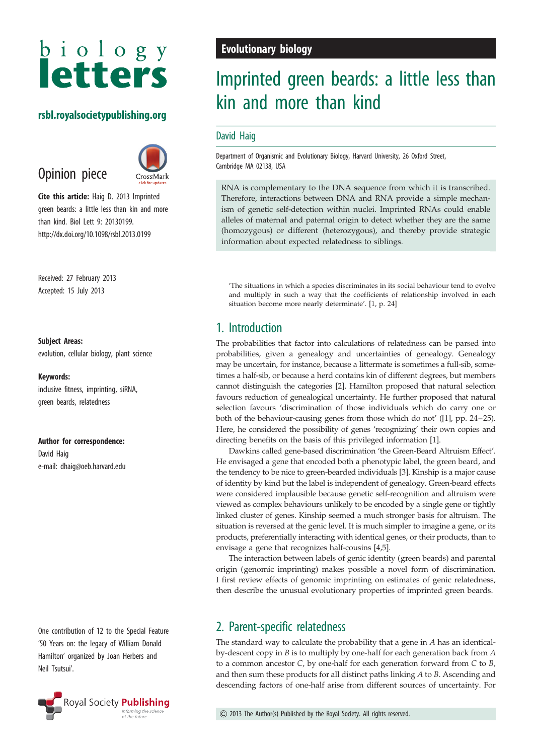# biology<br>letters

## rsbl.royalsocietypublishing.org

# Opinion piece



Cite this article: Haig D. 2013 Imprinted green beards: a little less than kin and more than kind. Biol Lett 9: 20130199. http://dx.doi.org/10.1098/rsbl.2013.0199

Received: 27 February 2013 Accepted: 15 July 2013

#### Subject Areas:

evolution, cellular biology, plant science

#### Keywords:

inclusive fitness, imprinting, siRNA, green beards, relatedness

Author for correspondence:

David Haig e-mail: [dhaig@oeb.harvard.edu](mailto:dhaig@oeb.harvard.edu)

One contribution of 12 to the Special Feature '50 Years on: the legacy of William Donald Hamilton' organized by Joan Herbers and Neil Tsutsui'.



## Evolutionary biology

# Imprinted green beards: a little less than kin and more than kind

### David Haig

Department of Organismic and Evolutionary Biology, Harvard University, 26 Oxford Street, Cambridge MA 02138, USA

RNA is complementary to the DNA sequence from which it is transcribed. Therefore, interactions between DNA and RNA provide a simple mechanism of genetic self-detection within nuclei. Imprinted RNAs could enable alleles of maternal and paternal origin to detect whether they are the same (homozygous) or different (heterozygous), and thereby provide strategic information about expected relatedness to siblings.

'The situations in which a species discriminates in its social behaviour tend to evolve and multiply in such a way that the coefficients of relationship involved in each situation become more nearly determinate'. [\[1](#page-2-0), p. 24]

## 1. Introduction

The probabilities that factor into calculations of relatedness can be parsed into probabilities, given a genealogy and uncertainties of genealogy. Genealogy may be uncertain, for instance, because a littermate is sometimes a full-sib, sometimes a half-sib, or because a herd contains kin of different degrees, but members cannot distinguish the categories [[2](#page-2-0)]. Hamilton proposed that natural selection favours reduction of genealogical uncertainty. He further proposed that natural selection favours 'discrimination of those individuals which do carry one or both of the behaviour-causing genes from those which do not' ([[1](#page-2-0)], pp. 24–25). Here, he considered the possibility of genes 'recognizing' their own copies and directing benefits on the basis of this privileged information [\[1\]](#page-2-0).

Dawkins called gene-based discrimination 'the Green-Beard Altruism Effect'. He envisaged a gene that encoded both a phenotypic label, the green beard, and the tendency to be nice to green-bearded individuals [\[3](#page-2-0)]. Kinship is a major cause of identity by kind but the label is independent of genealogy. Green-beard effects were considered implausible because genetic self-recognition and altruism were viewed as complex behaviours unlikely to be encoded by a single gene or tightly linked cluster of genes. Kinship seemed a much stronger basis for altruism. The situation is reversed at the genic level. It is much simpler to imagine a gene, or its products, preferentially interacting with identical genes, or their products, than to envisage a gene that recognizes half-cousins [[4,5\]](#page-2-0).

The interaction between labels of genic identity (green beards) and parental origin (genomic imprinting) makes possible a novel form of discrimination. I first review effects of genomic imprinting on estimates of genic relatedness, then describe the unusual evolutionary properties of imprinted green beards.

## 2. Parent-specific relatedness

The standard way to calculate the probability that a gene in A has an identicalby-descent copy in B is to multiply by one-half for each generation back from A to a common ancestor  $C$ , by one-half for each generation forward from  $C$  to  $B$ , and then sum these products for all distinct paths linking A to B. Ascending and descending factors of one-half arise from different sources of uncertainty. For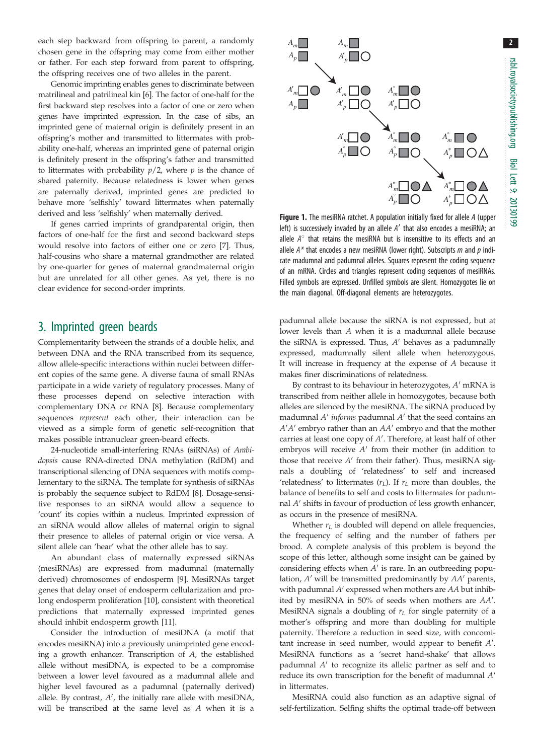2

<span id="page-1-0"></span>each step backward from offspring to parent, a randomly chosen gene in the offspring may come from either mother or father. For each step forward from parent to offspring, the offspring receives one of two alleles in the parent.

Genomic imprinting enables genes to discriminate between matrilineal and patrilineal kin [\[6](#page-2-0)]. The factor of one-half for the first backward step resolves into a factor of one or zero when genes have imprinted expression. In the case of sibs, an imprinted gene of maternal origin is definitely present in an offspring's mother and transmitted to littermates with probability one-half, whereas an imprinted gene of paternal origin is definitely present in the offspring's father and transmitted to littermates with probability  $p/2$ , where  $p$  is the chance of shared paternity. Because relatedness is lower when genes are paternally derived, imprinted genes are predicted to behave more 'selfishly' toward littermates when paternally derived and less 'selfishly' when maternally derived.

If genes carried imprints of grandparental origin, then factors of one-half for the first and second backward steps would resolve into factors of either one or zero [[7](#page-2-0)]. Thus, half-cousins who share a maternal grandmother are related by one-quarter for genes of maternal grandmaternal origin but are unrelated for all other genes. As yet, there is no clear evidence for second-order imprints.

## 3. Imprinted green beards

Complementarity between the strands of a double helix, and between DNA and the RNA transcribed from its sequence, allow allele-specific interactions within nuclei between different copies of the same gene. A diverse fauna of small RNAs participate in a wide variety of regulatory processes. Many of these processes depend on selective interaction with complementary DNA or RNA [[8](#page-2-0)]. Because complementary sequences represent each other, their interaction can be viewed as a simple form of genetic self-recognition that makes possible intranuclear green-beard effects.

24-nucleotide small-interfering RNAs (siRNAs) of Arabidopsis cause RNA-directed DNA methylation (RdDM) and transcriptional silencing of DNA sequences with motifs complementary to the siRNA. The template for synthesis of siRNAs is probably the sequence subject to RdDM [\[8\]](#page-2-0). Dosage-sensitive responses to an siRNA would allow a sequence to 'count' its copies within a nucleus. Imprinted expression of an siRNA would allow alleles of maternal origin to signal their presence to alleles of paternal origin or vice versa. A silent allele can 'hear' what the other allele has to say.

An abundant class of maternally expressed siRNAs (mesiRNAs) are expressed from madumnal (maternally derived) chromosomes of endosperm [\[9\]](#page-2-0). MesiRNAs target genes that delay onset of endosperm cellularization and prolong endosperm proliferation [[10\]](#page-2-0), consistent with theoretical predictions that maternally expressed imprinted genes should inhibit endosperm growth [\[11](#page-2-0)].

Consider the introduction of mesiDNA (a motif that encodes mesiRNA) into a previously unimprinted gene encoding a growth enhancer. Transcription of A, the established allele without mesiDNA, is expected to be a compromise between a lower level favoured as a madumnal allele and higher level favoured as a padumnal (paternally derived) allele. By contrast,  $A'$ , the initially rare allele with mesiDNA, will be transcribed at the same level as A when it is a



Figure 1. The mesiRNA ratchet. A population initially fixed for allele A (upper left) is successively invaded by an allele  $A'$  that also encodes a mesiRNA; an allele  $A^\circ$  that retains the mesiRNA but is insensitive to its effects and an allele  $A^*$  that encodes a new mesiRNA (lower right). Subscripts  $m$  and  $p$  indicate madumnal and padumnal alleles. Squares represent the coding sequence of an mRNA. Circles and triangles represent coding sequences of mesiRNAs. Filled symbols are expressed. Unfilled symbols are silent. Homozygotes lie on the main diagonal. Off-diagonal elements are heterozygotes.

padumnal allele because the siRNA is not expressed, but at lower levels than A when it is a madumnal allele because the siRNA is expressed. Thus,  $A'$  behaves as a padumnally expressed, madumnally silent allele when heterozygous. It will increase in frequency at the expense of A because it makes finer discriminations of relatedness.

By contrast to its behaviour in heterozygotes,  $A'$  mRNA is transcribed from neither allele in homozygotes, because both alleles are silenced by the mesiRNA. The siRNA produced by madumnal  $A'$  informs padumnal  $A'$  that the seed contains an  $A'A'$  embryo rather than an  $AA'$  embryo and that the mother carries at least one copy of  $A'$ . Therefore, at least half of other embryos will receive  $A'$  from their mother (in addition to those that receive  $A'$  from their father). Thus, mesiRNA signals a doubling of 'relatedness' to self and increased 'relatedness' to littermates  $(r_L)$ . If  $r_L$  more than doubles, the balance of benefits to self and costs to littermates for padumnal  $A'$  shifts in favour of production of less growth enhancer, as occurs in the presence of mesiRNA.

Whether  $r<sub>L</sub>$  is doubled will depend on allele frequencies, the frequency of selfing and the number of fathers per brood. A complete analysis of this problem is beyond the scope of this letter, although some insight can be gained by considering effects when  $A'$  is rare. In an outbreeding population,  $A'$  will be transmitted predominantly by  $AA'$  parents, with padumnal  $A'$  expressed when mothers are  $AA$  but inhibited by mesiRNA in 50% of seeds when mothers are  $AA'$ . MesiRNA signals a doubling of  $r<sub>L</sub>$  for single paternity of a mother's offspring and more than doubling for multiple paternity. Therefore a reduction in seed size, with concomitant increase in seed number, would appear to benefit  $A'$ . MesiRNA functions as a 'secret hand-shake' that allows padumnal  $A'$  to recognize its allelic partner as self and to reduce its own transcription for the benefit of madumnal  $A'$ in littermates.

MesiRNA could also function as an adaptive signal of self-fertilization. Selfing shifts the optimal trade-off between